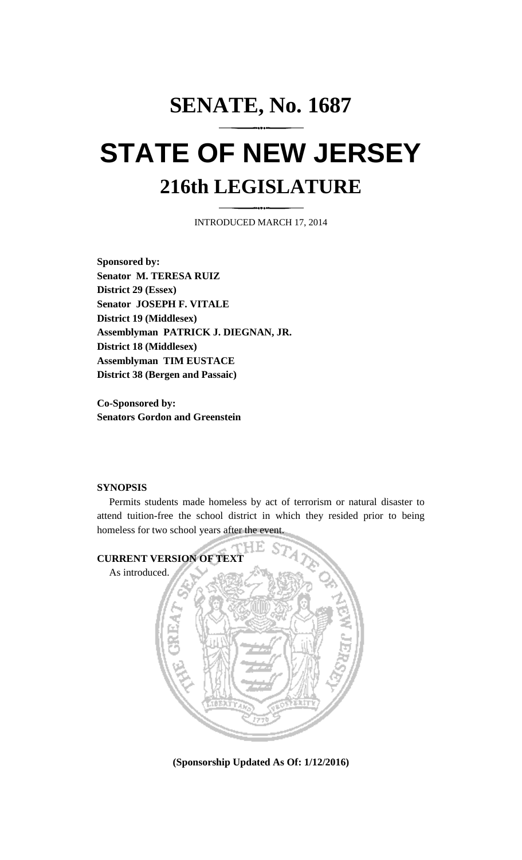## **SENATE, No. 1687 STATE OF NEW JERSEY 216th LEGISLATURE**

INTRODUCED MARCH 17, 2014

**Sponsored by: Senator M. TERESA RUIZ District 29 (Essex) Senator JOSEPH F. VITALE District 19 (Middlesex) Assemblyman PATRICK J. DIEGNAN, JR. District 18 (Middlesex) Assemblyman TIM EUSTACE District 38 (Bergen and Passaic)**

**Co-Sponsored by: Senators Gordon and Greenstein**

## **SYNOPSIS**

Permits students made homeless by act of terrorism or natural disaster to attend tuition-free the school district in which they resided prior to being homeless for two school years after the event.



**(Sponsorship Updated As Of: 1/12/2016)**